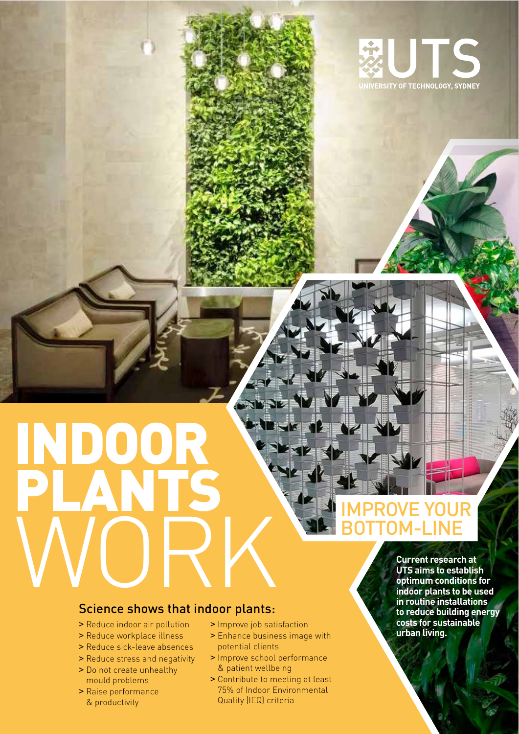

# WASE NE WEST INDOOR ENE JK PLANTS WORK

## **IMPROVE YOUR** TOM-LINE

#### Science shows that indoor plants:

- > Reduce indoor air pollution
- > Reduce workplace illness
- > Reduce sick-leave absences
- > Reduce stress and negativity
- > Do not create unhealthy mould problems
- > Raise performance & productivity
- > Improve job satisfaction
- > Enhance business image with potential clients

**ARTICLE** 

- > Improve school performance & patient wellbeing
- > Contribute to meeting at least 75% of Indoor Environmental Quality (IEQ) criteria

**Current research at UTS aims to establish optimum conditions for indoor plants to be used in routine installations to reduce building energy costs for sustainable urban living.**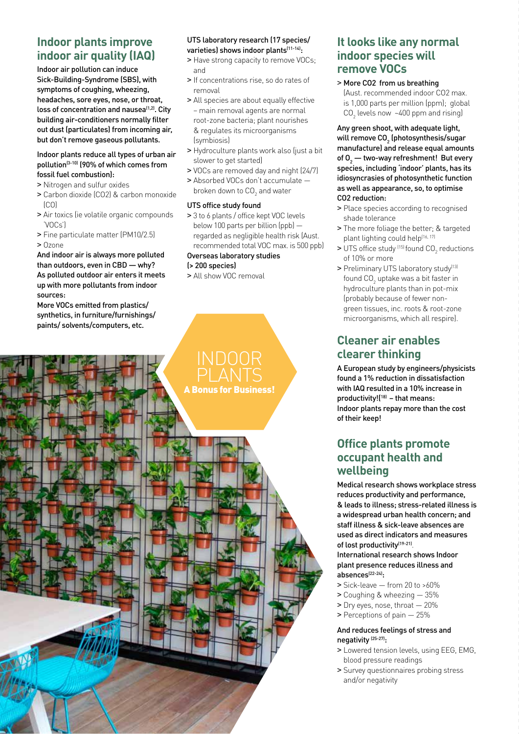### **Indoor plants improve indoor air quality (IAQ)**

Indoor air pollution can induce Sick-Building-Syndrome (SBS), with symptoms of coughing, wheezing, headaches, sore eyes, nose, or throat, loss of concentration and nausea<sup>(1,2)</sup>. City building air-conditioners normally filter out dust (particulates) from incoming air, but don't remove gaseous pollutants.

#### Indoor plants reduce all types of urban air pollution(3-10) (90% of which comes from fossil fuel combustion):

- > Nitrogen and sulfur oxides
- > Carbon dioxide (CO2) & carbon monoxide  $[CO]$
- > Air toxics (ie volatile organic compounds 'VOCs')
- > Fine particulate matter (PM10/2.5) > Ozone

And indoor air is always more polluted than outdoors, even in CBD — why? As polluted outdoor air enters it meets up with more pollutants from indoor sources:

More VOCs emitted from plastics/ synthetics, in furniture/furnishings/ paints/ solvents/computers, etc.

#### UTS laboratory research (17 species/ varieties) shows indoor plants<sup>(11-14)</sup>:

- > Have strong capacity to remove VOCs; and
- > If concentrations rise, so do rates of removal
- > All species are about equally effective – main removal agents are normal root-zone bacteria; plant nourishes & regulates its microorganisms **(symbiosis)**
- > Hydroculture plants work also (just a bit slower to get started)
- > VOCs are removed day and night (24/7)
- > Absorbed VOCs don't accumulate broken down to  $\textsf{CO}_2$  and water

#### UTS office study found

> 3 to 6 plants / office kept VOC levels below 100 parts per billion (ppb) regarded as negligible health risk (Aust. recommended total VOC max. is 500 ppb)

#### Overseas laboratory studies

INDOOR

A Bonus for Business!

(> 200 species)

> All show VOC removal

#### **It looks like any normal indoor species will remove VOCs**

> More CO2 from us breathing (Aust. recommended indoor CO2 max. is 1,000 parts per million (ppm); global  $CO<sub>2</sub>$  levels now  $~\sim$  400 ppm and rising)

Any green shoot, with adequate light, will remove CO $_{\textrm{\tiny{2}}}$  (photosynthesis/sugar manufacture) and release equal amounts of  $O_2$  — two-way refreshment! But every species, including 'indoor' plants, has its idiosyncrasies of photosynthetic function as well as appearance, so, to optimise CO2 reduction:

- > Place species according to recognised shade tolerance
- > The more foliage the better; & targeted plant lighting could help(16, 17)
- $>$  UTS office study  $(15)$  found CO<sub>2</sub> reductions of 10% or more
- > Preliminary UTS laboratory study<sup>(13)</sup> found CO $_{\rm 2}$  uptake was a bit faster in hydroculture plants than in pot-mix (probably because of fewer nongreen tissues, inc. roots & root-zone microorganisms, which all respire).

#### **Cleaner air enables clearer thinking**

A European study by engineers/physicists found a 1% reduction in dissatisfaction with IAQ resulted in a 10% increase in productivity! $[18]$  – that means: Indoor plants repay more than the cost of their keep!

#### **Office plants promote occupant health and wellbeing**

Medical research shows workplace stress reduces productivity and performance, & leads to illness; stress-related illness is a widespread urban health concern; and staff illness & sick-leave absences are used as direct indicators and measures of lost productivity<sup>(19-21)</sup>.

International research shows Indoor plant presence reduces illness and absences<sup>(22-24)</sup>:

- > Sick-leave from 20 to >60%
- > Coughing & wheezing 35%
- > Dry eyes, nose, throat 20%
- > Perceptions of pain 25%

#### And reduces feelings of stress and negativity (25-27):

- > Lowered tension levels, using EEG, EMG, blood pressure readings
- > Survey questionnaires probing stress and/or negativity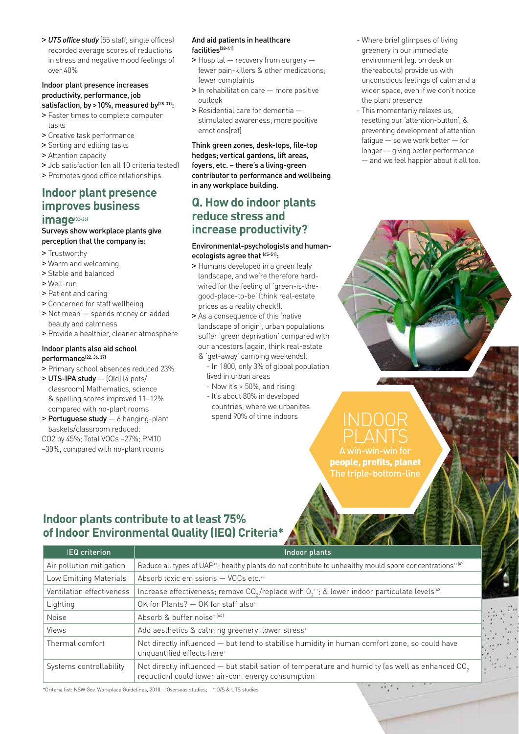> *UTS office study* (55 staff; single offices) recorded average scores of reductions in stress and negative mood feelings of over 40%

#### Indoor plant presence increases productivity, performance, job satisfaction, by >10%, measured by<sup>(28-31)</sup>:

- > Faster times to complete computer tasks
- > Creative task performance
- > Sorting and editing tasks
- > Attention capacity
- > Job satisfaction (on all 10 criteria tested)
- > Promotes good office relationships

### **Indoor plant presence improves business**

#### **image**(32-36)

#### Surveys show workplace plants give perception that the company is:

- > Trustworthy
- > Warm and welcoming
- > Stable and balanced
- > Well-run
- > Patient and caring
- > Concerned for staff wellbeing
- > Not mean spends money on added beauty and calmness
- > Provide a healthier, cleaner atmosphere

#### Indoor plants also aid school performance<sup>(22, 36, 37)</sup>

- > Primary school absences reduced 23%
- > UTS-IPA study (Qld) (4 pots/ classroom) Mathematics, science & spelling scores improved 11–12% compared with no-plant rooms
- > Portuguese study 6 hanging-plant baskets/classroom reduced:
- CO2 by 45%; Total VOCs –27%; PM10
- –30%, compared with no-plant rooms

#### And aid patients in healthcare facilities<sup>(38-41)</sup>

- > Hospital recovery from surgery fewer pain-killers & other medications; fewer complaints
- > In rehabilitation care more positive outlook
- > Residential care for dementia stimulated awareness; more positive emotions(ref)

Think green zones, desk-tops, file-top hedges; vertical gardens, lift areas, foyers, etc. – there's a living-green contributor to performance and wellbeing in any workplace building.

#### **Q. How do indoor plants reduce stress and increase productivity?**

#### Environmental-psychologists and humanecologists agree that [45-51]:

- > Humans developed in a green leafy landscape, and we're therefore hardwired for the feeling of 'green-is-thegood-place-to-be' (think real-estate prices as a reality check!).
- > As a consequence of this 'native landscape of origin', urban populations suffer 'green deprivation' compared with our ancestors (again, think real-estate
	- & 'get-away' camping weekends): - In 1800, only 3% of global population lived in urban areas
		- Now it's > 50%, and rising
		- It's about 80% in developed countries, where we urbanites spend 90% of time indoors
- Where brief glimpses of living greenery in our immediate environment (eg. on desk or thereabouts) provide us with unconscious feelings of calm and a wider space, even if we don't notice the plant presence
- This momentarily relaxes us, resetting our 'attention-button', & preventing development of attention fatigue — so we work better — for longer — giving better performance — and we feel happier about it all too.

A win-win-win for people, profits, planet The triple-bottom-line

#### **Indoor plants contribute to at least 75% of Indoor Environmental Quality (IEQ) Criteria\***

| <b>IEQ</b> criterion      | Indoor plants                                                                                                                                                      |
|---------------------------|--------------------------------------------------------------------------------------------------------------------------------------------------------------------|
| Air pollution mitigation  | Reduce all types of UAP <sup>++</sup> ; healthy plants do not contribute to unhealthy mould spore concentrations <sup>++(2)</sup>                                  |
| Low Emitting Materials    | Absorb toxic emissions - VOCs etc.**                                                                                                                               |
| Ventilation effectiveness | Increase effectiveness; remove $CO_2$ /replace with $O_2$ <sup>++</sup> ; & lower indoor particulate levels <sup>[43]</sup>                                        |
| Lighting                  | OK for Plants? - OK for staff also**                                                                                                                               |
| <b>Noise</b>              | Absorb & buffer noise <sup>+[44]</sup>                                                                                                                             |
| <b>Views</b>              | Add aesthetics & calming greenery; lower stress**                                                                                                                  |
| Thermal comfort           | Not directly influenced – but tend to stabilise humidity in human comfort zone, so could have<br>unquantified effects here <sup>+</sup>                            |
| Systems controllability   | Not directly influenced – but stabilisation of temperature and humidity (as well as enhanced CO <sub>2</sub><br>reduction) could lower air-con. energy consumption |

\*Criteria list: NSW Gov. Workplace Guidelines, 2010. +Overseas studies; ++ O/S & UTS studies